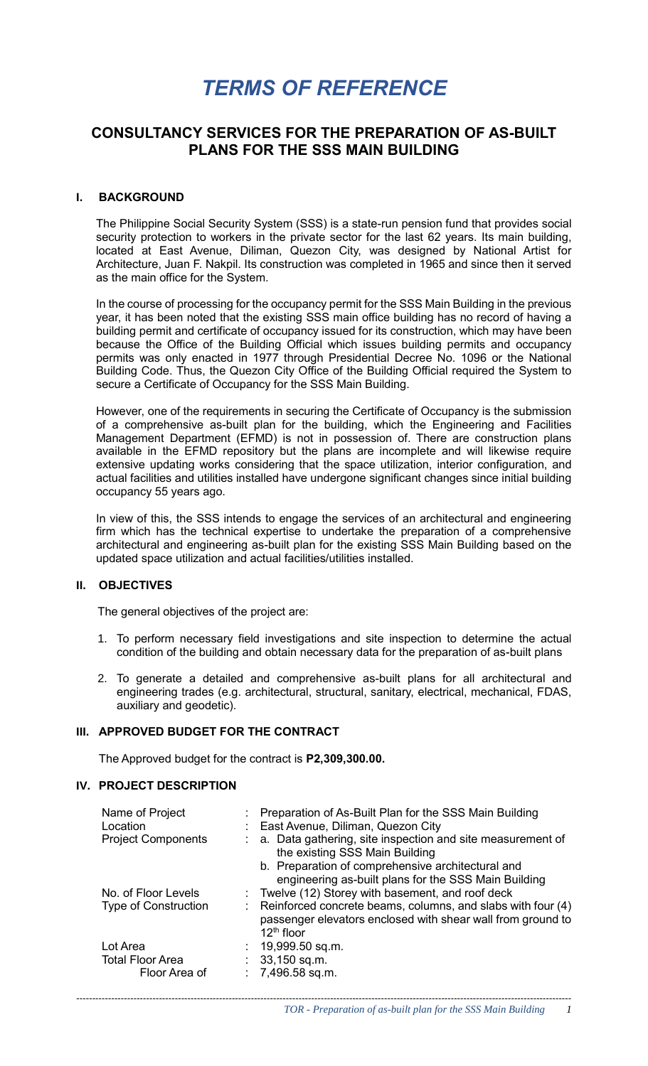# *TERMS OF REFERENCE*

## **CONSULTANCY SERVICES FOR THE PREPARATION OF AS-BUILT PLANS FOR THE SSS MAIN BUILDING**

#### **I. BACKGROUND**

The Philippine Social Security System (SSS) is a state-run pension fund that provides social security protection to workers in the private sector for the last 62 years. Its main building, located at East Avenue, Diliman, Quezon City, was designed by National Artist for Architecture, Juan F. Nakpil. Its construction was completed in 1965 and since then it served as the main office for the System.

In the course of processing for the occupancy permit for the SSS Main Building in the previous year, it has been noted that the existing SSS main office building has no record of having a building permit and certificate of occupancy issued for its construction, which may have been because the Office of the Building Official which issues building permits and occupancy permits was only enacted in 1977 through Presidential Decree No. 1096 or the National Building Code. Thus, the Quezon City Office of the Building Official required the System to secure a Certificate of Occupancy for the SSS Main Building.

However, one of the requirements in securing the Certificate of Occupancy is the submission of a comprehensive as-built plan for the building, which the Engineering and Facilities Management Department (EFMD) is not in possession of. There are construction plans available in the EFMD repository but the plans are incomplete and will likewise require extensive updating works considering that the space utilization, interior configuration, and actual facilities and utilities installed have undergone significant changes since initial building occupancy 55 years ago.

In view of this, the SSS intends to engage the services of an architectural and engineering firm which has the technical expertise to undertake the preparation of a comprehensive architectural and engineering as-built plan for the existing SSS Main Building based on the updated space utilization and actual facilities/utilities installed.

#### **II. OBJECTIVES**

The general objectives of the project are:

- 1. To perform necessary field investigations and site inspection to determine the actual condition of the building and obtain necessary data for the preparation of as-built plans
- 2. To generate a detailed and comprehensive as-built plans for all architectural and engineering trades (e.g. architectural, structural, sanitary, electrical, mechanical, FDAS, auxiliary and geodetic).

#### **III. APPROVED BUDGET FOR THE CONTRACT**

The Approved budget for the contract is **P2,309,300.00.**

#### **IV. PROJECT DESCRIPTION**

| Name of Project<br>Location | Preparation of As-Built Plan for the SSS Main Building<br>East Avenue, Diliman, Quezon City                                                  |
|-----------------------------|----------------------------------------------------------------------------------------------------------------------------------------------|
| <b>Project Components</b>   | : a. Data gathering, site inspection and site measurement of<br>the existing SSS Main Building                                               |
|                             | b. Preparation of comprehensive architectural and<br>engineering as-built plans for the SSS Main Building                                    |
| No. of Floor Levels         | : Twelve (12) Storey with basement, and roof deck                                                                                            |
| <b>Type of Construction</b> | : Reinforced concrete beams, columns, and slabs with four (4)<br>passenger elevators enclosed with shear wall from ground to<br>$12th$ floor |
| Lot Area                    | : $19,999.50$ sq.m.                                                                                                                          |
| <b>Total Floor Area</b>     | $: 33,150$ sq.m.                                                                                                                             |
| Floor Area of               | $: 7,496.58$ sq.m.                                                                                                                           |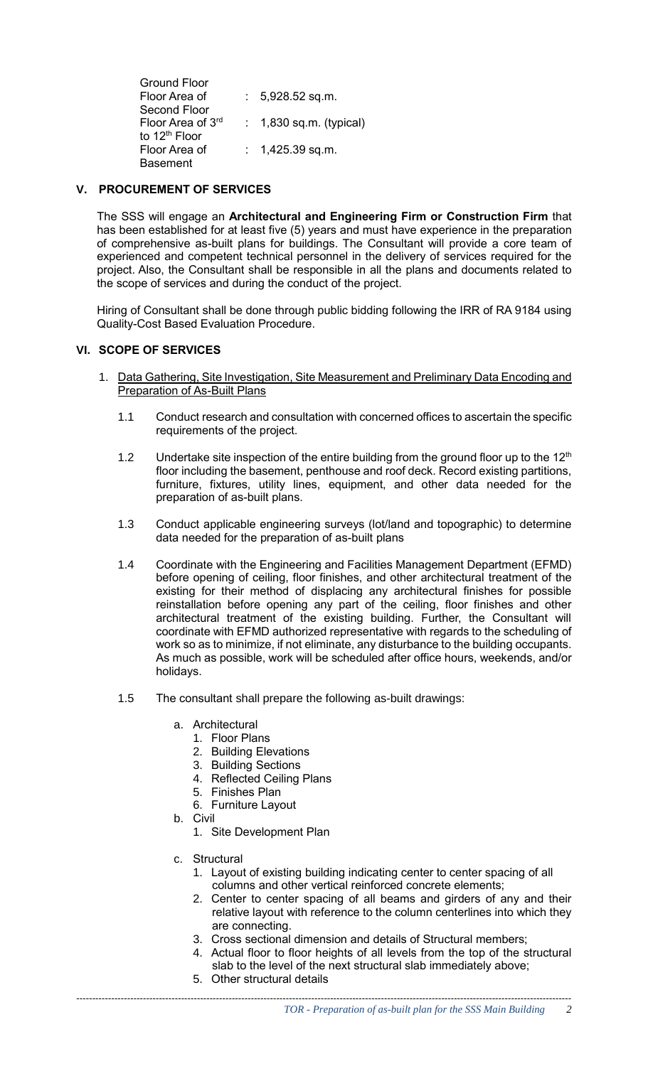Ground Floor Floor Area of Second Floor : 5,928.52 sq.m. Floor Area of 3rd to 12<sup>th</sup> Floor : 1,830 sq.m. (typical) Floor Area of Basement : 1,425.39 sq.m.

## **V. PROCUREMENT OF SERVICES**

The SSS will engage an **Architectural and Engineering Firm or Construction Firm** that has been established for at least five (5) years and must have experience in the preparation of comprehensive as-built plans for buildings. The Consultant will provide a core team of experienced and competent technical personnel in the delivery of services required for the project. Also, the Consultant shall be responsible in all the plans and documents related to the scope of services and during the conduct of the project.

Hiring of Consultant shall be done through public bidding following the IRR of RA 9184 using Quality-Cost Based Evaluation Procedure.

#### **VI. SCOPE OF SERVICES**

- 1. Data Gathering, Site Investigation, Site Measurement and Preliminary Data Encoding and Preparation of As-Built Plans
	- 1.1 Conduct research and consultation with concerned offices to ascertain the specific requirements of the project.
	- 1.2 Undertake site inspection of the entire building from the ground floor up to the  $12<sup>th</sup>$ floor including the basement, penthouse and roof deck. Record existing partitions, furniture, fixtures, utility lines, equipment, and other data needed for the preparation of as-built plans.
	- 1.3 Conduct applicable engineering surveys (lot/land and topographic) to determine data needed for the preparation of as-built plans
	- 1.4 Coordinate with the Engineering and Facilities Management Department (EFMD) before opening of ceiling, floor finishes, and other architectural treatment of the existing for their method of displacing any architectural finishes for possible reinstallation before opening any part of the ceiling, floor finishes and other architectural treatment of the existing building. Further, the Consultant will coordinate with EFMD authorized representative with regards to the scheduling of work so as to minimize, if not eliminate, any disturbance to the building occupants. As much as possible, work will be scheduled after office hours, weekends, and/or holidays.
	- 1.5 The consultant shall prepare the following as-built drawings:
		- a. Architectural
			- 1. Floor Plans
			- 2. Building Elevations
			- 3. Building Sections
			- 4. Reflected Ceiling Plans
			- 5. Finishes Plan
			- 6. Furniture Layout
		- b. Civil
			- 1. Site Development Plan
		- c. Structural
			- 1. Layout of existing building indicating center to center spacing of all columns and other vertical reinforced concrete elements;
			- 2. Center to center spacing of all beams and girders of any and their relative layout with reference to the column centerlines into which they are connecting.
			- 3. Cross sectional dimension and details of Structural members;
			- 4. Actual floor to floor heights of all levels from the top of the structural slab to the level of the next structural slab immediately above;
			- 5. Other structural details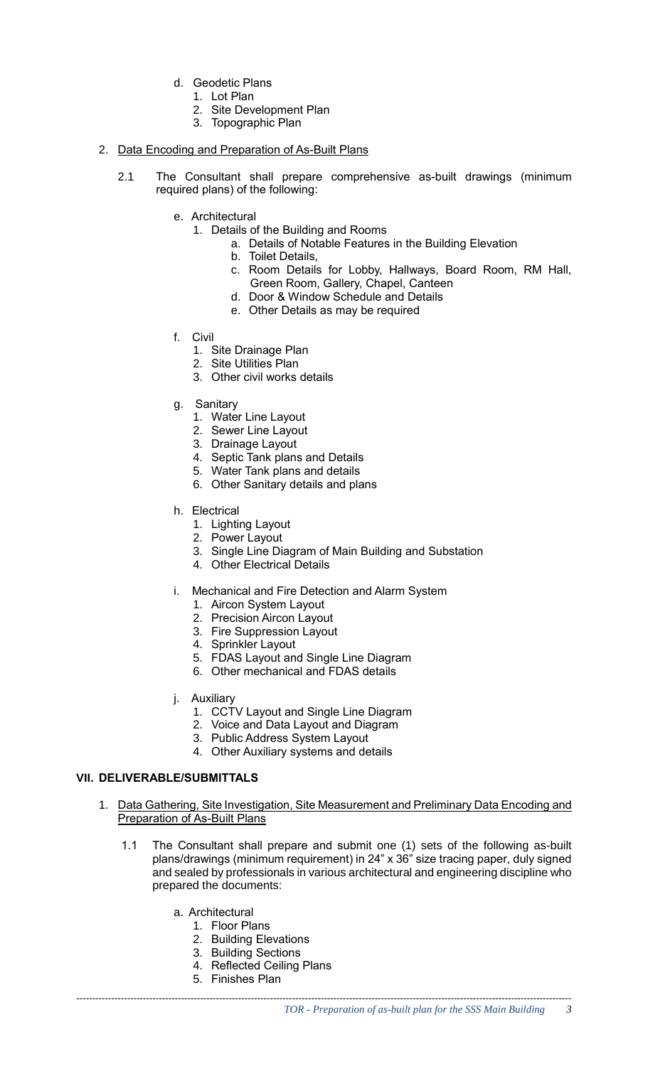- d. Geodetic Plans
	- 1. Lot Plan
	- 2. Site Development Plan
	- 3. Topographic Plan

#### 2. Data Encoding and Preparation of As-Built Plans

- 2.1 The Consultant shall prepare comprehensive as-built drawings (minimum required plans) of the following:
	- e. Architectural
		- 1. Details of the Building and Rooms
			- a. Details of Notable Features in the Building Elevation
			- b. Toilet Details,
			- c. Room Details for Lobby, Hallways, Board Room, RM Hall, Green Room, Gallery, Chapel, Canteen
			- d. Door & Window Schedule and Details
			- e. Other Details as may be required
	- f. Civil
		- 1. Site Drainage Plan
		- 2. Site Utilities Plan
		- 3. Other civil works details
	- g. Sanitary
		- 1. Water Line Layout
		- 2. Sewer Line Layout
		- 3. Drainage Layout
		- 4. Septic Tank plans and Details
		- 5. Water Tank plans and details
		- 6. Other Sanitary details and plans
	- h. Electrical
		- 1. Lighting Layout
		- 2. Power Layout
		- 3. Single Line Diagram of Main Building and Substation
		- 4. Other Electrical Details
	- i. Mechanical and Fire Detection and Alarm System
		- 1. Aircon System Layout
		- 2. Precision Aircon Layout
		- 3. Fire Suppression Layout
		- 4. Sprinkler Layout
		- 5. FDAS Layout and Single Line Diagram
		- 6. Other mechanical and FDAS details
	- j. Auxiliary
		- 1. CCTV Layout and Single Line Diagram
		- 2. Voice and Data Layout and Diagram
		- 3. Public Address System Layout
		- 4. Other Auxiliary systems and details

#### **VII. DELIVERABLE/SUBMITTALS**

- 1. Data Gathering, Site Investigation, Site Measurement and Preliminary Data Encoding and Preparation of As-Built Plans
	- 1.1 The Consultant shall prepare and submit one (1) sets of the following as-built plans/drawings (minimum requirement) in 24" x 36" size tracing paper, duly signed and sealed by professionals in various architectural and engineering discipline who prepared the documents:
		- a. Architectural
			- 1. Floor Plans
			- 2. Building Elevations
			- 3. Building Sections
			- 4. Reflected Ceiling Plans
			- 5. Finishes Plan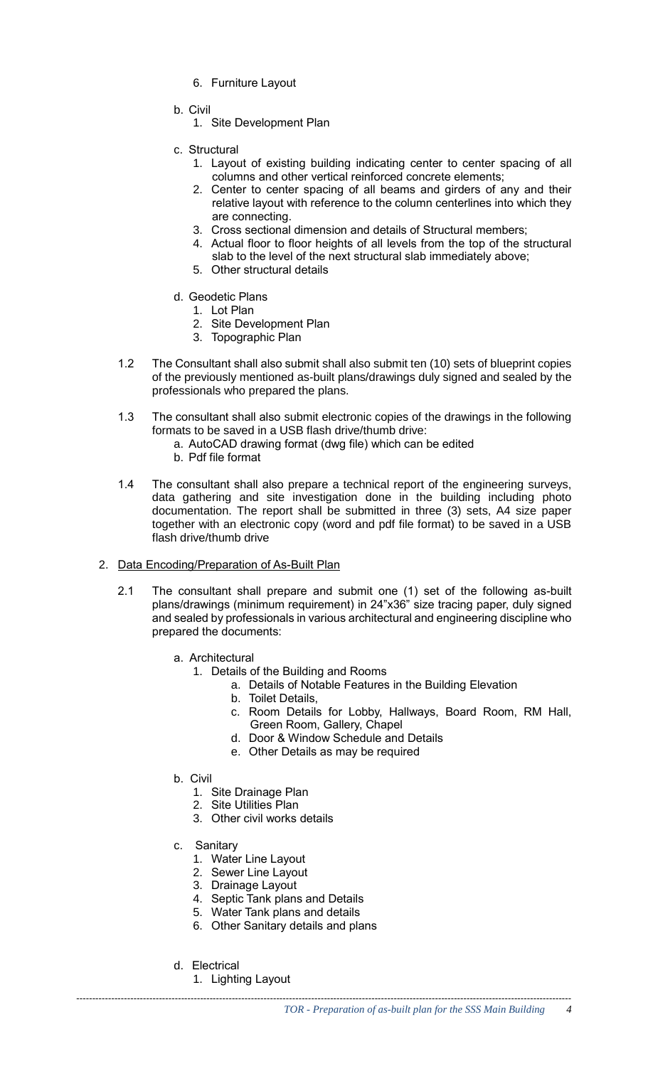- 6. Furniture Layout
- b. Civil
	- 1. Site Development Plan
- c. Structural
	- 1. Layout of existing building indicating center to center spacing of all columns and other vertical reinforced concrete elements;
	- 2. Center to center spacing of all beams and girders of any and their relative layout with reference to the column centerlines into which they are connecting.
	- 3. Cross sectional dimension and details of Structural members;
	- 4. Actual floor to floor heights of all levels from the top of the structural slab to the level of the next structural slab immediately above;
	- 5. Other structural details
- d. Geodetic Plans
	- 1. Lot Plan
	- 2. Site Development Plan
	- 3. Topographic Plan
- 1.2 The Consultant shall also submit shall also submit ten (10) sets of blueprint copies of the previously mentioned as-built plans/drawings duly signed and sealed by the professionals who prepared the plans.
- 1.3 The consultant shall also submit electronic copies of the drawings in the following formats to be saved in a USB flash drive/thumb drive:
	- a. AutoCAD drawing format (dwg file) which can be edited
	- b. Pdf file format
- 1.4 The consultant shall also prepare a technical report of the engineering surveys, data gathering and site investigation done in the building including photo documentation. The report shall be submitted in three (3) sets, A4 size paper together with an electronic copy (word and pdf file format) to be saved in a USB flash drive/thumb drive
- 2. Data Encoding/Preparation of As-Built Plan
	- 2.1 The consultant shall prepare and submit one (1) set of the following as-built plans/drawings (minimum requirement) in 24"x36" size tracing paper, duly signed and sealed by professionals in various architectural and engineering discipline who prepared the documents:
		- a. Architectural
			- 1. Details of the Building and Rooms
				- a. Details of Notable Features in the Building Elevation
					- b. Toilet Details,
					- c. Room Details for Lobby, Hallways, Board Room, RM Hall, Green Room, Gallery, Chapel
					- d. Door & Window Schedule and Details
					- e. Other Details as may be required
		- b. Civil
			- 1. Site Drainage Plan
			- 2. Site Utilities Plan
			- 3. Other civil works details
		- c. Sanitary
			- 1. Water Line Layout
			- 2. Sewer Line Layout
			- 3. Drainage Layout
			- 4. Septic Tank plans and Details
			- 5. Water Tank plans and details
			- 6. Other Sanitary details and plans
		- d. Electrical
			- 1. Lighting Layout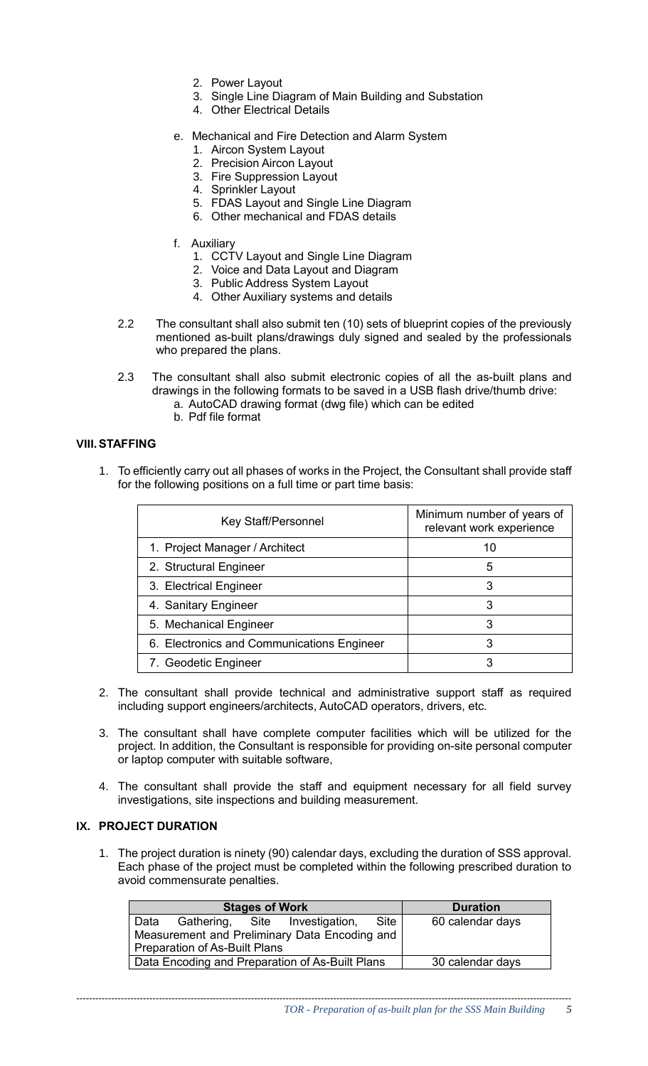- 2. Power Layout
- 3. Single Line Diagram of Main Building and Substation
- 4. Other Electrical Details
- e. Mechanical and Fire Detection and Alarm System
	- 1. Aircon System Layout
	- 2. Precision Aircon Layout
	- 3. Fire Suppression Layout
	- 4. Sprinkler Layout
	- 5. FDAS Layout and Single Line Diagram
	- 6. Other mechanical and FDAS details
- f. Auxiliary
	- 1. CCTV Layout and Single Line Diagram
	- 2. Voice and Data Layout and Diagram
	- 3. Public Address System Layout
	- 4. Other Auxiliary systems and details
- 2.2 The consultant shall also submit ten (10) sets of blueprint copies of the previously mentioned as-built plans/drawings duly signed and sealed by the professionals who prepared the plans.
- 2.3 The consultant shall also submit electronic copies of all the as-built plans and drawings in the following formats to be saved in a USB flash drive/thumb drive:
	- a. AutoCAD drawing format (dwg file) which can be edited
	- b. Pdf file format

#### **VIII.STAFFING**

1. To efficiently carry out all phases of works in the Project, the Consultant shall provide staff for the following positions on a full time or part time basis:

| Key Staff/Personnel                        | Minimum number of years of<br>relevant work experience |
|--------------------------------------------|--------------------------------------------------------|
| 1. Project Manager / Architect             | 10                                                     |
| 2. Structural Engineer                     | 5                                                      |
| 3. Electrical Engineer                     | 3                                                      |
| 4. Sanitary Engineer                       | 3                                                      |
| 5. Mechanical Engineer                     | 3                                                      |
| 6. Electronics and Communications Engineer | 3                                                      |
| 7. Geodetic Engineer                       |                                                        |

- 2. The consultant shall provide technical and administrative support staff as required including support engineers/architects, AutoCAD operators, drivers, etc.
- 3. The consultant shall have complete computer facilities which will be utilized for the project. In addition, the Consultant is responsible for providing on-site personal computer or laptop computer with suitable software,
- 4. The consultant shall provide the staff and equipment necessary for all field survey investigations, site inspections and building measurement.

## **IX. PROJECT DURATION**

1. The project duration is ninety (90) calendar days, excluding the duration of SSS approval. Each phase of the project must be completed within the following prescribed duration to avoid commensurate penalties.

| <b>Stages of Work</b>                           |  |  | <b>Duration</b>                |      |                  |
|-------------------------------------------------|--|--|--------------------------------|------|------------------|
| Data                                            |  |  | Gathering, Site Investigation, | Site | 60 calendar days |
| Measurement and Preliminary Data Encoding and   |  |  |                                |      |                  |
| <b>Preparation of As-Built Plans</b>            |  |  |                                |      |                  |
| Data Encoding and Preparation of As-Built Plans |  |  | 30 calendar days               |      |                  |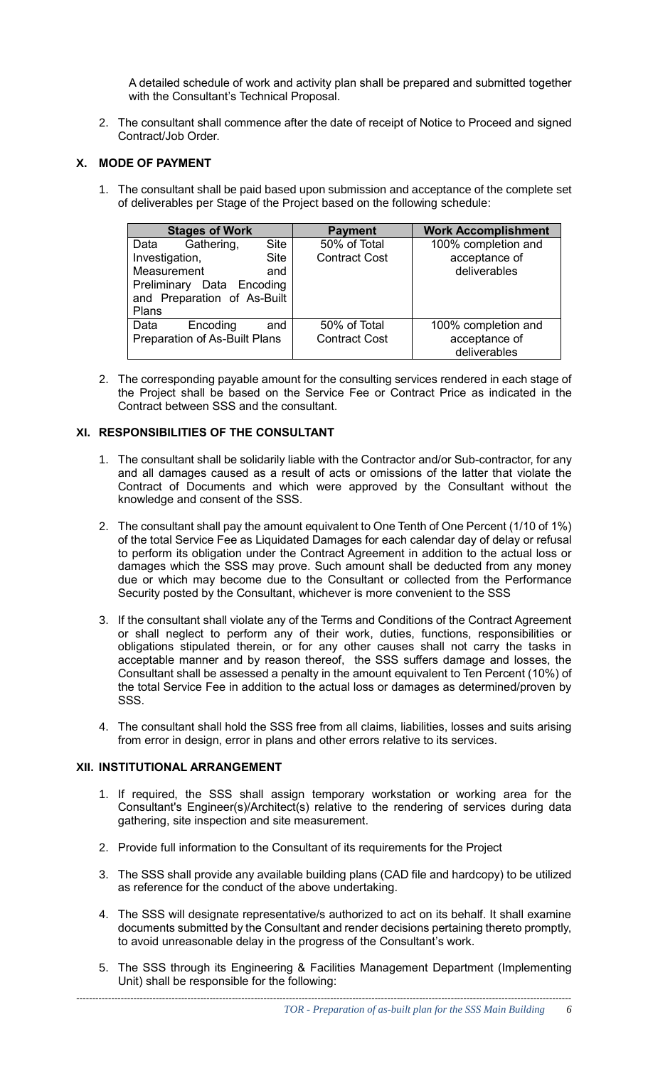A detailed schedule of work and activity plan shall be prepared and submitted together with the Consultant's Technical Proposal.

2. The consultant shall commence after the date of receipt of Notice to Proceed and signed Contract/Job Order.

## **X. MODE OF PAYMENT**

1. The consultant shall be paid based upon submission and acceptance of the complete set of deliverables per Stage of the Project based on the following schedule:

|                | <b>Stages of Work</b>                |             | <b>Payment</b>       | <b>Work Accomplishment</b> |
|----------------|--------------------------------------|-------------|----------------------|----------------------------|
| Data           | Gathering,                           | Site        | 50% of Total         | 100% completion and        |
| Investigation, |                                      | <b>Site</b> | <b>Contract Cost</b> | acceptance of              |
| Measurement    |                                      | and         |                      | deliverables               |
|                | Preliminary Data Encoding            |             |                      |                            |
|                | and Preparation of As-Built          |             |                      |                            |
| Plans          |                                      |             |                      |                            |
| Data           | Encoding                             | and         | 50% of Total         | 100% completion and        |
|                | <b>Preparation of As-Built Plans</b> |             | <b>Contract Cost</b> | acceptance of              |
|                |                                      |             |                      | deliverables               |

2. The corresponding payable amount for the consulting services rendered in each stage of the Project shall be based on the Service Fee or Contract Price as indicated in the Contract between SSS and the consultant.

### **XI. RESPONSIBILITIES OF THE CONSULTANT**

- 1. The consultant shall be solidarily liable with the Contractor and/or Sub-contractor, for any and all damages caused as a result of acts or omissions of the latter that violate the Contract of Documents and which were approved by the Consultant without the knowledge and consent of the SSS.
- 2. The consultant shall pay the amount equivalent to One Tenth of One Percent (1/10 of 1%) of the total Service Fee as Liquidated Damages for each calendar day of delay or refusal to perform its obligation under the Contract Agreement in addition to the actual loss or damages which the SSS may prove. Such amount shall be deducted from any money due or which may become due to the Consultant or collected from the Performance Security posted by the Consultant, whichever is more convenient to the SSS
- 3. If the consultant shall violate any of the Terms and Conditions of the Contract Agreement or shall neglect to perform any of their work, duties, functions, responsibilities or obligations stipulated therein, or for any other causes shall not carry the tasks in acceptable manner and by reason thereof, the SSS suffers damage and losses, the Consultant shall be assessed a penalty in the amount equivalent to Ten Percent (10%) of the total Service Fee in addition to the actual loss or damages as determined/proven by SSS.
- 4. The consultant shall hold the SSS free from all claims, liabilities, losses and suits arising from error in design, error in plans and other errors relative to its services.

#### **XII. INSTITUTIONAL ARRANGEMENT**

- 1. If required, the SSS shall assign temporary workstation or working area for the Consultant's Engineer(s)/Architect(s) relative to the rendering of services during data gathering, site inspection and site measurement.
- 2. Provide full information to the Consultant of its requirements for the Project
- 3. The SSS shall provide any available building plans (CAD file and hardcopy) to be utilized as reference for the conduct of the above undertaking.
- 4. The SSS will designate representative/s authorized to act on its behalf. It shall examine documents submitted by the Consultant and render decisions pertaining thereto promptly, to avoid unreasonable delay in the progress of the Consultant's work.
- 5. The SSS through its Engineering & Facilities Management Department (Implementing Unit) shall be responsible for the following: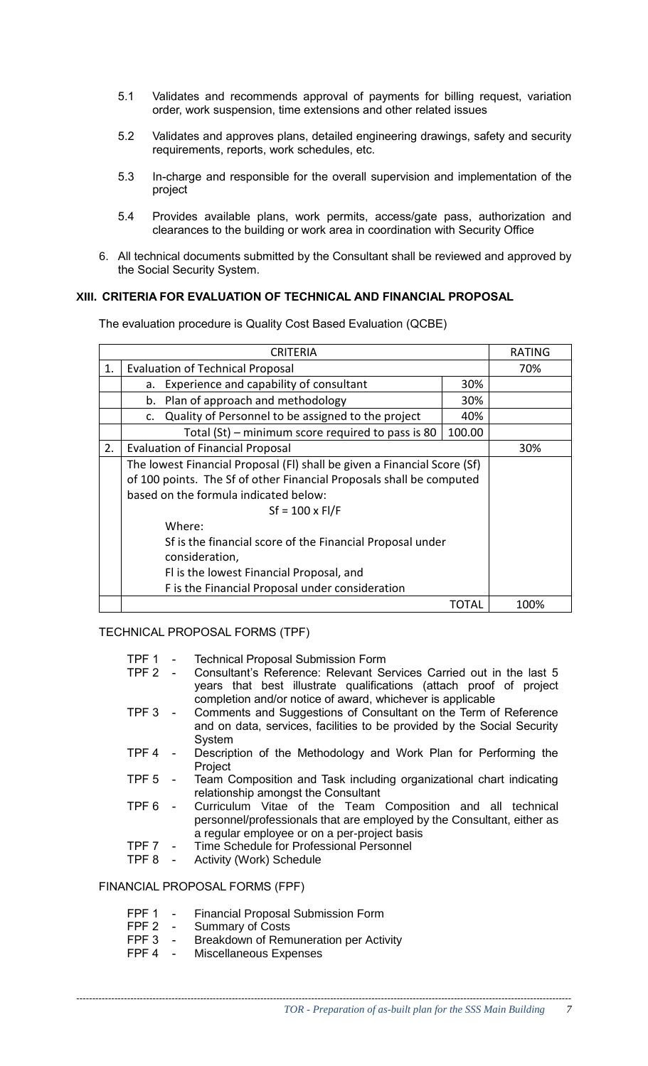- 5.1 Validates and recommends approval of payments for billing request, variation order, work suspension, time extensions and other related issues
- 5.2 Validates and approves plans, detailed engineering drawings, safety and security requirements, reports, work schedules, etc.
- 5.3 In-charge and responsible for the overall supervision and implementation of the project
- 5.4 Provides available plans, work permits, access/gate pass, authorization and clearances to the building or work area in coordination with Security Office
- 6. All technical documents submitted by the Consultant shall be reviewed and approved by the Social Security System.

#### **XIII. CRITERIA FOR EVALUATION OF TECHNICAL AND FINANCIAL PROPOSAL**

The evaluation procedure is Quality Cost Based Evaluation (QCBE)

|    | RATING                                                                   |        |      |  |  |
|----|--------------------------------------------------------------------------|--------|------|--|--|
| 1. | <b>Evaluation of Technical Proposal</b>                                  |        |      |  |  |
|    | Experience and capability of consultant<br>a.                            |        |      |  |  |
|    | Plan of approach and methodology<br>b.                                   | 30%    |      |  |  |
|    | Quality of Personnel to be assigned to the project<br>c.                 | 40%    |      |  |  |
|    | Total (St) – minimum score required to pass is 80                        | 100.00 |      |  |  |
| 2. | <b>Evaluation of Financial Proposal</b>                                  |        | 30%  |  |  |
|    | The lowest Financial Proposal (FI) shall be given a Financial Score (Sf) |        |      |  |  |
|    | of 100 points. The Sf of other Financial Proposals shall be computed     |        |      |  |  |
|    | based on the formula indicated below:                                    |        |      |  |  |
|    | $Sf = 100 \times FI/F$                                                   |        |      |  |  |
|    | Where:                                                                   |        |      |  |  |
|    | Sf is the financial score of the Financial Proposal under                |        |      |  |  |
|    | consideration,                                                           |        |      |  |  |
|    | Fl is the lowest Financial Proposal, and                                 |        |      |  |  |
|    | F is the Financial Proposal under consideration                          |        |      |  |  |
|    |                                                                          | TOTAL  | 100% |  |  |

TECHNICAL PROPOSAL FORMS (TPF)

- TPF 1 Technical Proposal Submission Form<br>TPF 2 Consultant's Reference: Relevant Se
- Consultant's Reference: Relevant Services Carried out in the last 5 years that best illustrate qualifications (attach proof of project completion and/or notice of award, whichever is applicable
- TPF 3 Comments and Suggestions of Consultant on the Term of Reference and on data, services, facilities to be provided by the Social Security System
- TPF 4 Description of the Methodology and Work Plan for Performing the Project
- TPF 5 Team Composition and Task including organizational chart indicating relationship amongst the Consultant
- TPF 6 Curriculum Vitae of the Team Composition and all technical personnel/professionals that are employed by the Consultant, either as a regular employee or on a per-project basis
- TPF 7 Time Schedule for Professional Personnel<br>TPF 8 Activity (Work) Schedule
- Activity (Work) Schedule

FINANCIAL PROPOSAL FORMS (FPF)

- FPF 1 Financial Proposal Submission Form
- FPF 2 Summary of Costs<br>FPF 3 Breakdown of Rem
- FPF 3 Breakdown of Remuneration per Activity<br>FPF 4 Miscellaneous Expenses
- Miscellaneous Expenses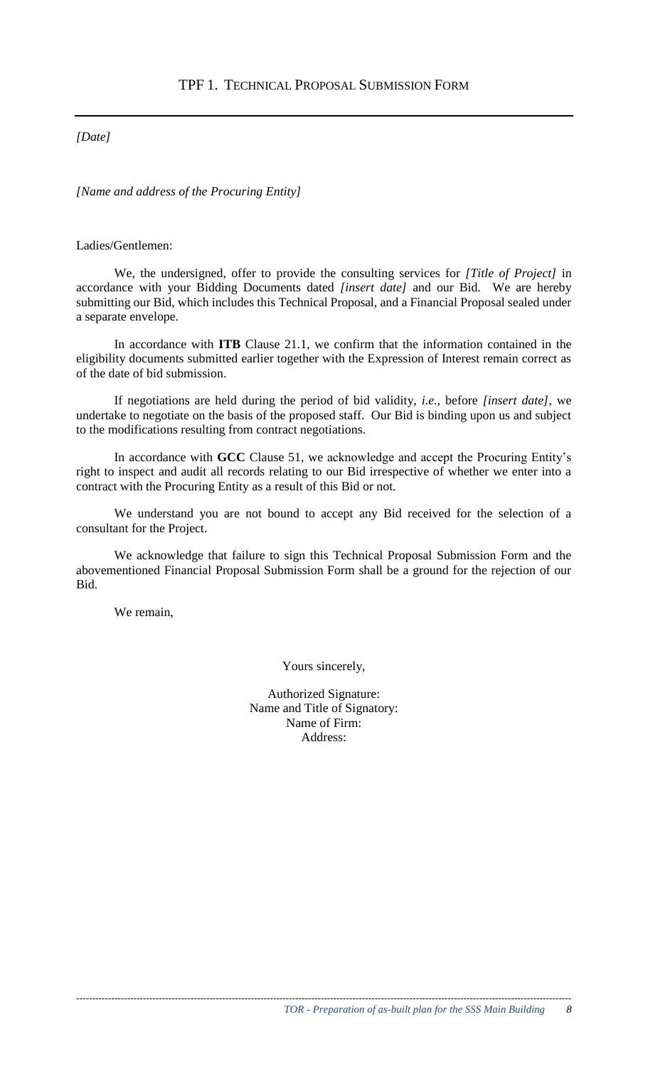## *[Date]*

*[Name and address of the Procuring Entity]*

#### Ladies/Gentlemen:

We, the undersigned, offer to provide the consulting services for *[Title of Project]* in accordance with your Bidding Documents dated *[insert date]* and our Bid. We are hereby submitting our Bid, which includes this Technical Proposal, and a Financial Proposal sealed under a separate envelope.

In accordance with **ITB** Clause 21.1, we confirm that the information contained in the eligibility documents submitted earlier together with the Expression of Interest remain correct as of the date of bid submission.

If negotiations are held during the period of bid validity, *i.e.*, before *[insert date],* we undertake to negotiate on the basis of the proposed staff. Our Bid is binding upon us and subject to the modifications resulting from contract negotiations.

In accordance with **GCC** Clause 51, we acknowledge and accept the Procuring Entity's right to inspect and audit all records relating to our Bid irrespective of whether we enter into a contract with the Procuring Entity as a result of this Bid or not.

We understand you are not bound to accept any Bid received for the selection of a consultant for the Project.

We acknowledge that failure to sign this Technical Proposal Submission Form and the abovementioned Financial Proposal Submission Form shall be a ground for the rejection of our Bid.

We remain,

Yours sincerely,

Authorized Signature: Name and Title of Signatory: Name of Firm: Address: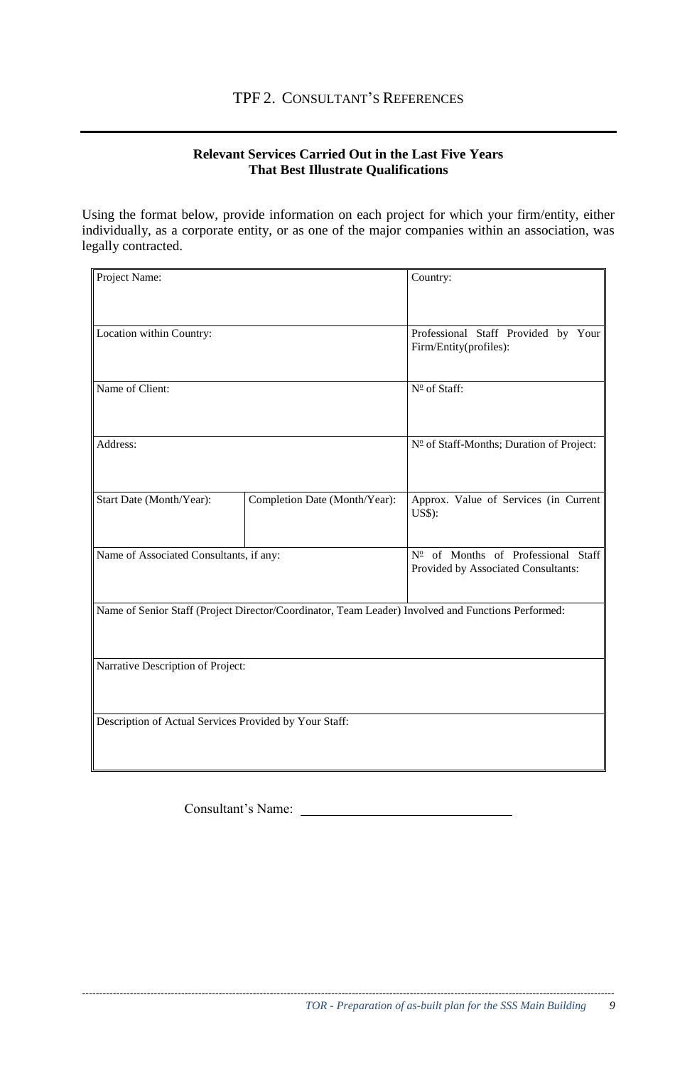## **Relevant Services Carried Out in the Last Five Years That Best Illustrate Qualifications**

Using the format below, provide information on each project for which your firm/entity, either individually, as a corporate entity, or as one of the major companies within an association, was legally contracted.

| Project Name:                                          |                                                                                                    | Country:                                                                  |  |  |
|--------------------------------------------------------|----------------------------------------------------------------------------------------------------|---------------------------------------------------------------------------|--|--|
|                                                        |                                                                                                    |                                                                           |  |  |
| Location within Country:                               | Professional Staff Provided by Your<br>Firm/Entity(profiles):                                      |                                                                           |  |  |
| Name of Client:                                        |                                                                                                    | Nº of Staff:                                                              |  |  |
| Address:                                               | Nº of Staff-Months; Duration of Project:                                                           |                                                                           |  |  |
| Start Date (Month/Year):                               | Completion Date (Month/Year):                                                                      | Approx. Value of Services (in Current<br><b>US\$</b> ):                   |  |  |
| Name of Associated Consultants, if any:                |                                                                                                    | Nº of Months of Professional Staff<br>Provided by Associated Consultants: |  |  |
|                                                        | Name of Senior Staff (Project Director/Coordinator, Team Leader) Involved and Functions Performed: |                                                                           |  |  |
| Narrative Description of Project:                      |                                                                                                    |                                                                           |  |  |
| Description of Actual Services Provided by Your Staff: |                                                                                                    |                                                                           |  |  |

Consultant's Name: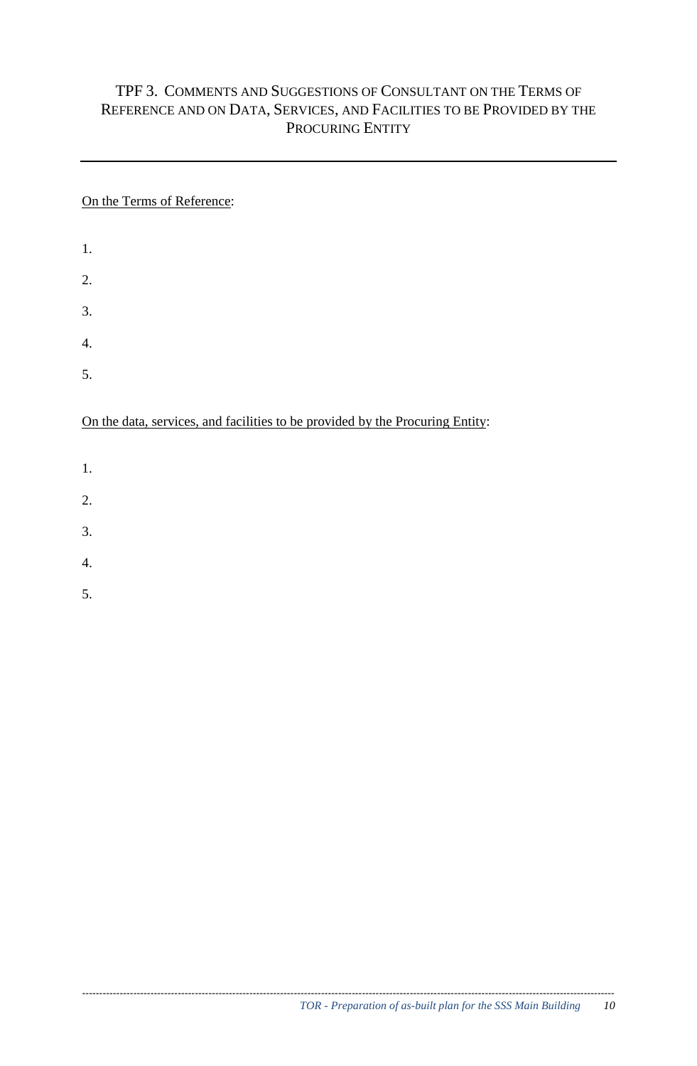## TPF 3. COMMENTS AND SUGGESTIONS OF CONSULTANT ON THE TERMS OF REFERENCE AND ON DATA, SERVICES, AND FACILITIES TO BE PROVIDED BY THE PROCURING ENTITY

## On the Terms of Reference:

| 1. |  |  |  |
|----|--|--|--|
| 2. |  |  |  |
| 3. |  |  |  |
| 4. |  |  |  |
| 5. |  |  |  |

## On the data, services, and facilities to be provided by the Procuring Entity:

- 1.
- 
- 2.
- 3.
- 4.
- 5.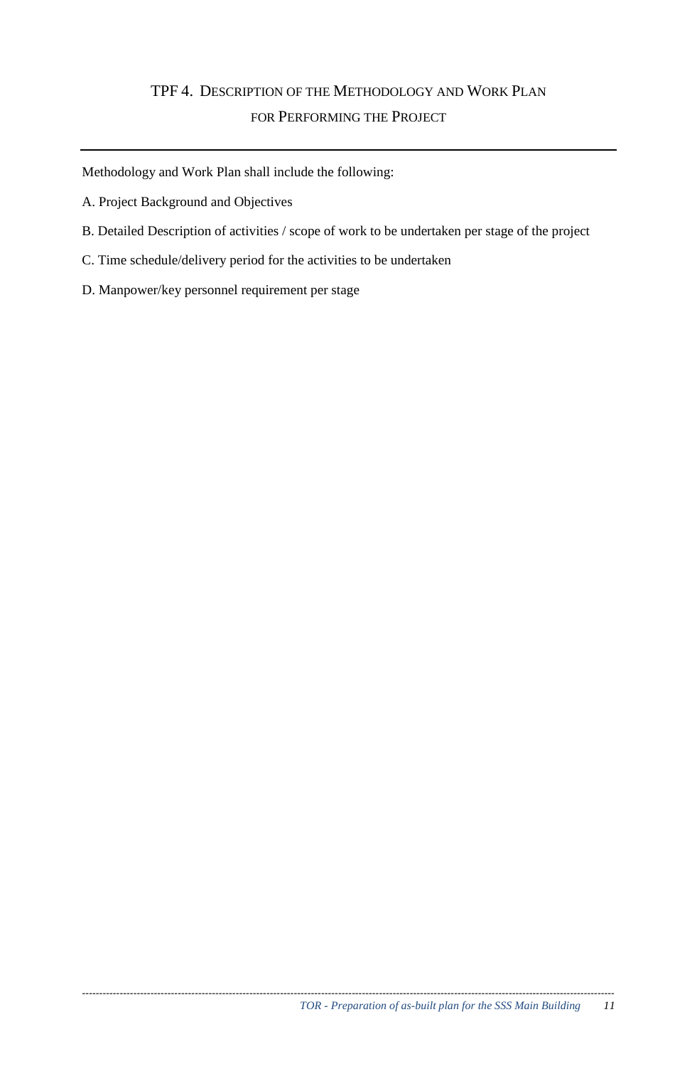## TPF 4. DESCRIPTION OF THE METHODOLOGY AND WORK PLAN FOR PERFORMING THE PROJECT

Methodology and Work Plan shall include the following:

- A. Project Background and Objectives
- B. Detailed Description of activities / scope of work to be undertaken per stage of the project
- C. Time schedule/delivery period for the activities to be undertaken
- D. Manpower/key personnel requirement per stage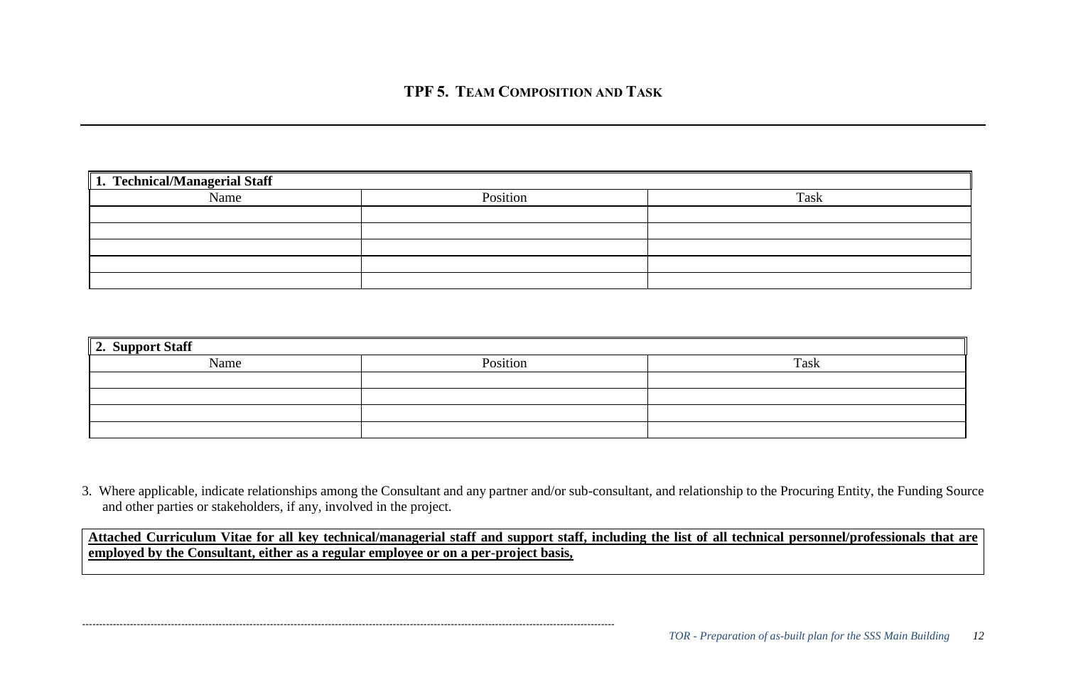| 1. Technical/Managerial Staff |          |      |  |  |
|-------------------------------|----------|------|--|--|
| Name                          | Position | Task |  |  |
|                               |          |      |  |  |
|                               |          |      |  |  |
|                               |          |      |  |  |
|                               |          |      |  |  |
|                               |          |      |  |  |

| 2. Support Staff |          |      |
|------------------|----------|------|
| Name             | Position | Task |
|                  |          |      |
|                  |          |      |
|                  |          |      |
|                  |          |      |

3. Where applicable, indicate relationships among the Consultant and any partner and/or sub-consultant, and relationship to the Procuring Entity, the Funding Source and other parties or stakeholders, if any, involved in the project.

**Attached Curriculum Vitae for all key technical/managerial staff and support staff, including the list of all technical personnel/professionals that are employed by the Consultant, either as a regular employee or on a per-project basis,**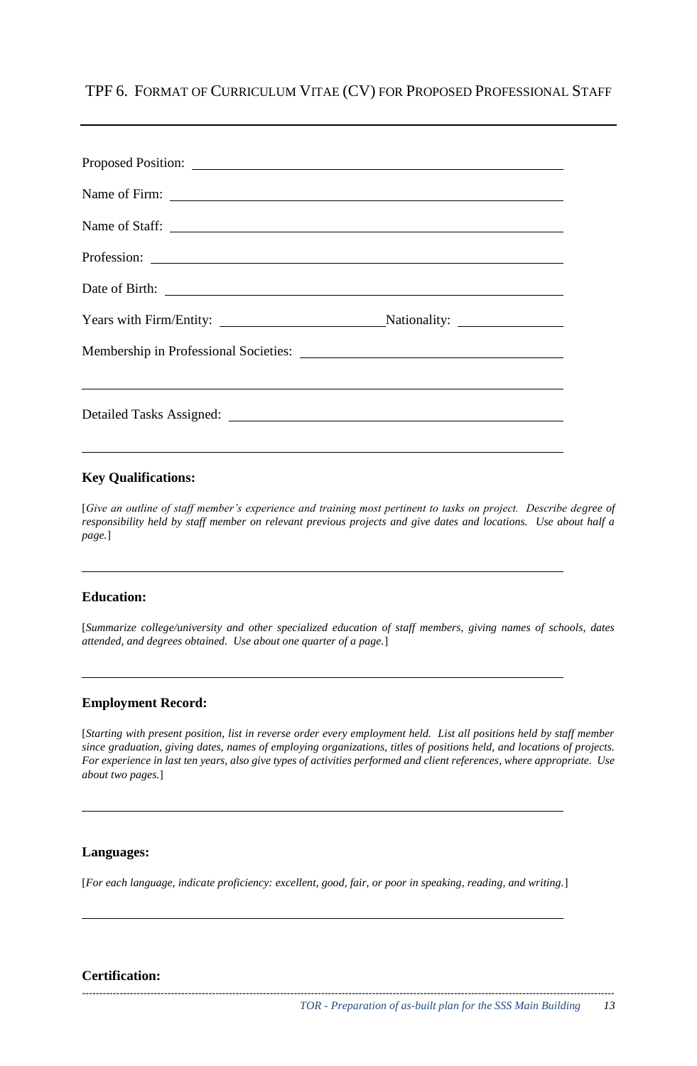TPF 6. FORMAT OF CURRICULUM VITAE (CV) FOR PROPOSED PROFESSIONAL STAFF

| Years with Firm/Entity: Nationality: Nationality: |  |
|---------------------------------------------------|--|
|                                                   |  |
|                                                   |  |

#### **Key Qualifications:**

[*Give an outline of staff member's experience and training most pertinent to tasks on project. Describe degree of responsibility held by staff member on relevant previous projects and give dates and locations. Use about half a page.*]

#### **Education:**

[*Summarize college/university and other specialized education of staff members, giving names of schools, dates attended, and degrees obtained. Use about one quarter of a page.*]

#### **Employment Record:**

[*Starting with present position, list in reverse order every employment held. List all positions held by staff member since graduation, giving dates, names of employing organizations, titles of positions held, and locations of projects. For experience in last ten years, also give types of activities performed and client references, where appropriate. Use about two pages.*]

#### **Languages:**

[*For each language, indicate proficiency: excellent, good, fair, or poor in speaking, reading, and writing.*]

*------------------------------------------------------------------------------------------------------------------------------------------------------------*

#### **Certification:**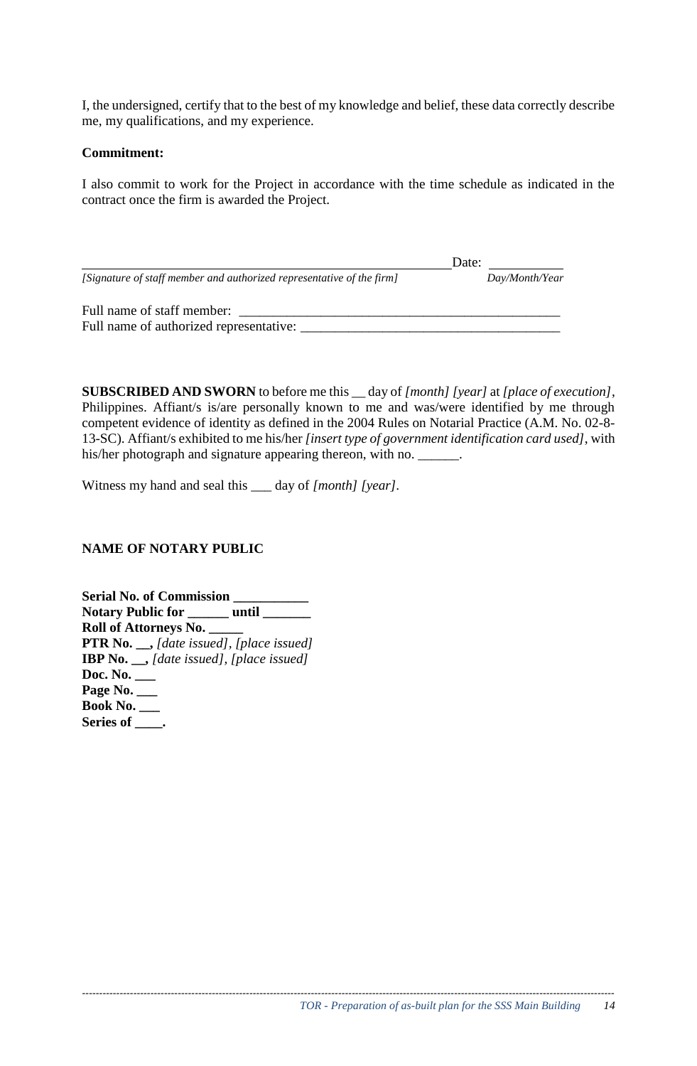I, the undersigned, certify that to the best of my knowledge and belief, these data correctly describe me, my qualifications, and my experience.

#### **Commitment:**

I also commit to work for the Project in accordance with the time schedule as indicated in the contract once the firm is awarded the Project.

|                                                                       | Date:          |
|-----------------------------------------------------------------------|----------------|
| [Signature of staff member and authorized representative of the firm] | Day/Month/Year |
| Full name of staff member:<br>Full name of authorized representative: |                |

**SUBSCRIBED AND SWORN** to before me this \_\_ day of *[month] [year]* at *[place of execution]*, Philippines. Affiant/s is/are personally known to me and was/were identified by me through competent evidence of identity as defined in the 2004 Rules on Notarial Practice (A.M. No. 02-8- 13-SC). Affiant/s exhibited to me his/her *[insert type of government identification card used]*, with his/her photograph and signature appearing thereon, with no. \_\_\_\_\_\_.

Witness my hand and seal this \_\_\_ day of *[month] [year].* 

## **NAME OF NOTARY PUBLIC**

**Serial No. of Commission \_\_\_\_\_\_\_\_\_\_\_ Notary Public for \_\_\_\_\_\_ until \_\_\_\_\_\_\_ Roll of Attorneys No. \_\_\_\_\_ PTR No. \_\_,** *[date issued], [place issued]*  **IBP No. \_\_,** *[date issued], [place issued]*  **Doc. No. \_\_\_ Page No. \_\_\_ Book No. \_\_\_ Series of \_\_\_\_.**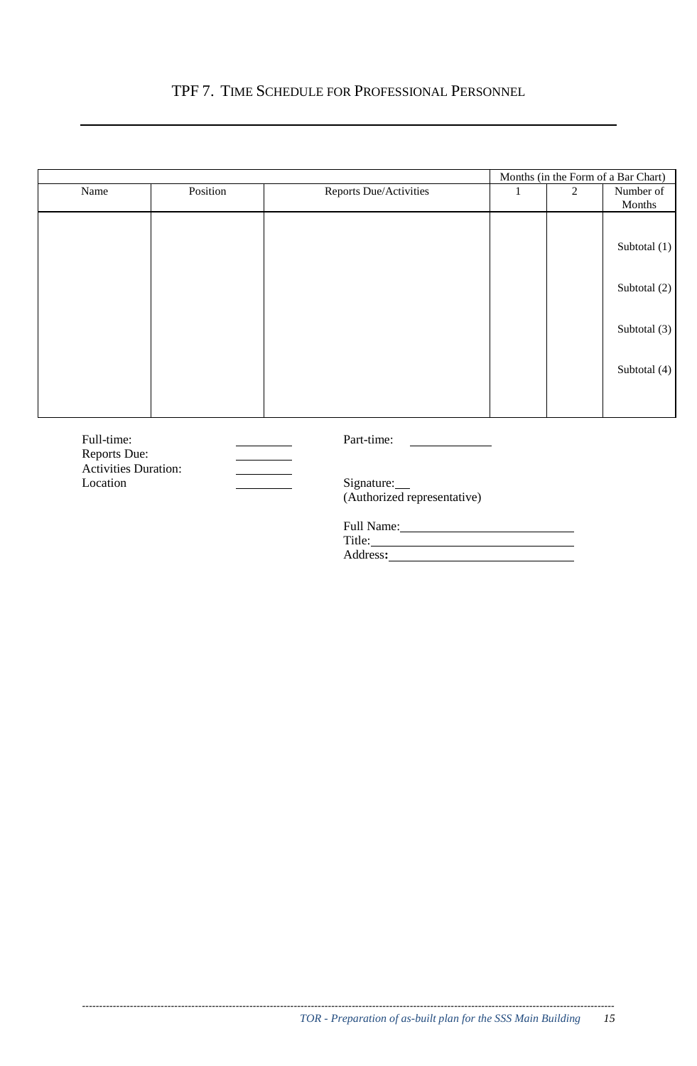## TPF 7. TIME SCHEDULE FOR PROFESSIONAL PERSONNEL

|                                         |          |                                                                                                                                                                                                                                          |              |                | Months (in the Form of a Bar Chart) |
|-----------------------------------------|----------|------------------------------------------------------------------------------------------------------------------------------------------------------------------------------------------------------------------------------------------|--------------|----------------|-------------------------------------|
| Name                                    | Position | Reports Due/Activities                                                                                                                                                                                                                   | $\mathbf{1}$ | $\overline{2}$ | Number of<br>Months                 |
|                                         |          |                                                                                                                                                                                                                                          |              |                | Subtotal (1)                        |
|                                         |          |                                                                                                                                                                                                                                          |              |                | Subtotal (2)                        |
|                                         |          |                                                                                                                                                                                                                                          |              |                | Subtotal (3)                        |
|                                         |          |                                                                                                                                                                                                                                          |              |                | Subtotal (4)                        |
|                                         |          |                                                                                                                                                                                                                                          |              |                |                                     |
| Full-time:<br>Reports Due:              |          | Part-time:                                                                                                                                                                                                                               |              |                |                                     |
| <b>Activities Duration:</b><br>Location |          | Signature:<br>(Authorized representative)                                                                                                                                                                                                |              |                |                                     |
|                                         |          | Full Name: Name and Solid Name and Solid Name and Solid Name and Solid Name and Solid Name and Solid Name and Solid Name and Solid Name and Solid Name and Solid Name and Solid Name and Solid Name and Solid Name and Solid N<br>Title: |              |                |                                     |

Address**:**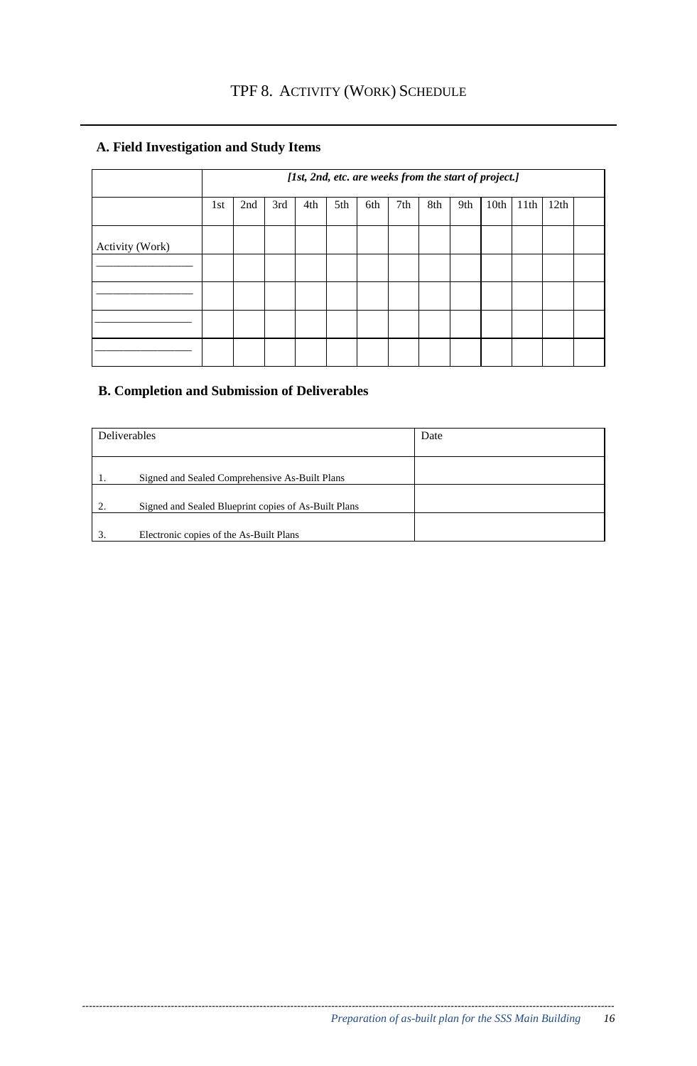## **A. Field Investigation and Study Items**

|                 | [1st, 2nd, etc. are weeks from the start of project.] |     |     |     |     |     |     |     |     |      |      |      |  |
|-----------------|-------------------------------------------------------|-----|-----|-----|-----|-----|-----|-----|-----|------|------|------|--|
|                 | 1st                                                   | 2nd | 3rd | 4th | 5th | 6th | 7th | 8th | 9th | 10th | 11th | 12th |  |
| Activity (Work) |                                                       |     |     |     |     |     |     |     |     |      |      |      |  |
|                 |                                                       |     |     |     |     |     |     |     |     |      |      |      |  |
|                 |                                                       |     |     |     |     |     |     |     |     |      |      |      |  |
|                 |                                                       |     |     |     |     |     |     |     |     |      |      |      |  |
|                 |                                                       |     |     |     |     |     |     |     |     |      |      |      |  |

## **B. Completion and Submission of Deliverables**

| Deliverables |                                                      | Date |
|--------------|------------------------------------------------------|------|
| 1.           | Signed and Sealed Comprehensive As-Built Plans       |      |
| 2.           | Signed and Sealed Blueprint copies of As-Built Plans |      |
| 3.           | Electronic copies of the As-Built Plans              |      |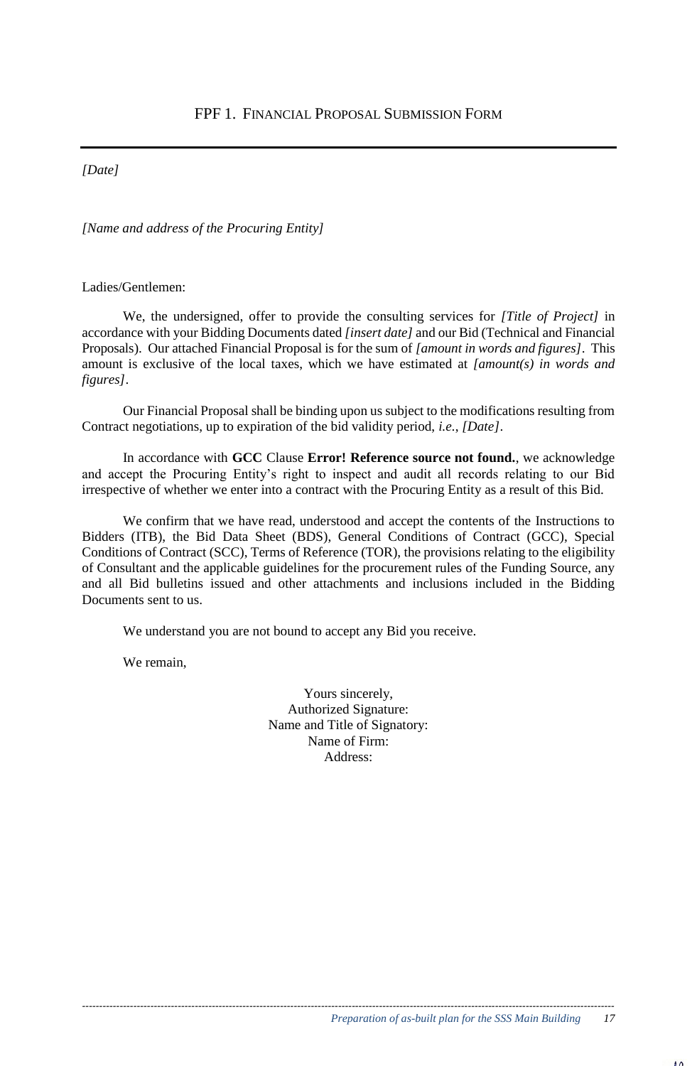*[Date]*

*[Name and address of the Procuring Entity]*

Ladies/Gentlemen:

We, the undersigned, offer to provide the consulting services for *[Title of Project]* in accordance with your Bidding Documents dated *[insert date]* and our Bid (Technical and Financial Proposals). Our attached Financial Proposal is for the sum of *[amount in words and figures]*. This amount is exclusive of the local taxes, which we have estimated at *[amount(s) in words and figures]*.

Our Financial Proposal shall be binding upon us subject to the modifications resulting from Contract negotiations, up to expiration of the bid validity period, *i.e.*, *[Date]*.

In accordance with **GCC** Clause **Error! Reference source not found.**, we acknowledge and accept the Procuring Entity's right to inspect and audit all records relating to our Bid irrespective of whether we enter into a contract with the Procuring Entity as a result of this Bid.

We confirm that we have read, understood and accept the contents of the Instructions to Bidders (ITB), the Bid Data Sheet (BDS), General Conditions of Contract (GCC), Special Conditions of Contract (SCC), Terms of Reference (TOR), the provisions relating to the eligibility of Consultant and the applicable guidelines for the procurement rules of the Funding Source, any and all Bid bulletins issued and other attachments and inclusions included in the Bidding Documents sent to us.

We understand you are not bound to accept any Bid you receive.

We remain,

Yours sincerely, Authorized Signature: Name and Title of Signatory: Name of Firm: Address: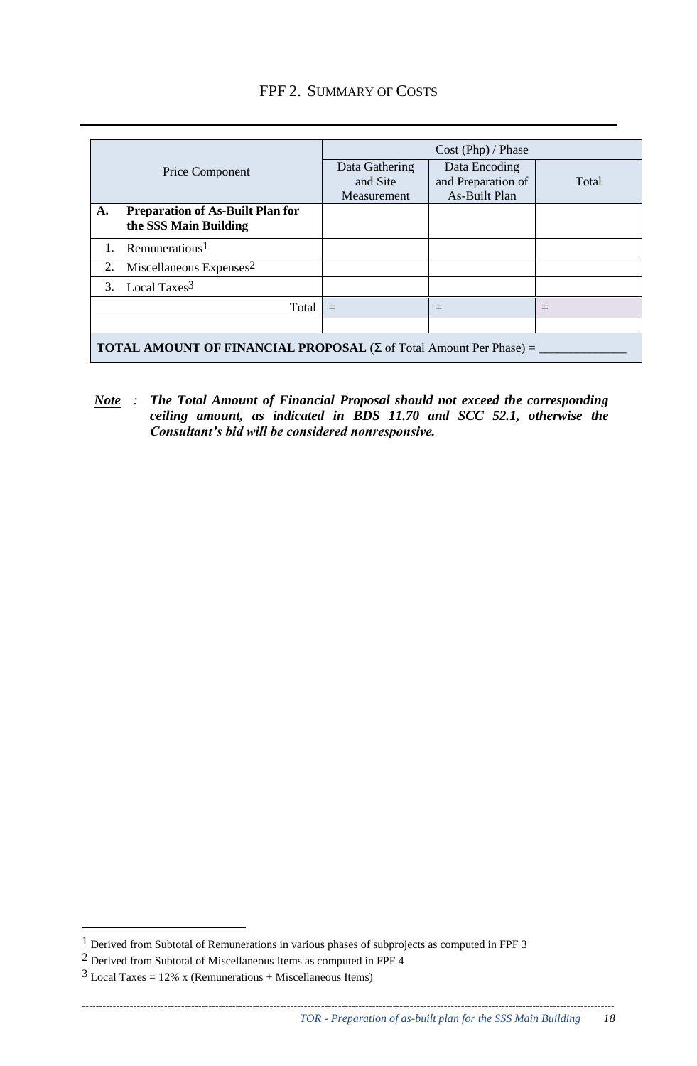## FPF 2. SUMMARY OF COSTS

| Price Component |                                                                                   | Cost (Php) / Phase |                    |       |  |  |
|-----------------|-----------------------------------------------------------------------------------|--------------------|--------------------|-------|--|--|
|                 |                                                                                   | Data Gathering     | Data Encoding      |       |  |  |
|                 |                                                                                   | and Site           | and Preparation of | Total |  |  |
|                 |                                                                                   | Measurement        | As-Built Plan      |       |  |  |
| A.              | <b>Preparation of As-Built Plan for</b>                                           |                    |                    |       |  |  |
|                 | the SSS Main Building                                                             |                    |                    |       |  |  |
|                 | Remunerations <sup>1</sup>                                                        |                    |                    |       |  |  |
| 2.              | Miscellaneous Expenses <sup>2</sup>                                               |                    |                    |       |  |  |
|                 | 3. Local Taxes <sup>3</sup>                                                       |                    |                    |       |  |  |
|                 | Total                                                                             | $=$                |                    |       |  |  |
|                 |                                                                                   |                    |                    |       |  |  |
|                 | <b>TOTAL AMOUNT OF FINANCIAL PROPOSAL</b> ( $\Sigma$ of Total Amount Per Phase) = |                    |                    |       |  |  |

*Note : The Total Amount of Financial Proposal should not exceed the corresponding ceiling amount, as indicated in BDS 11.70 and SCC 52.1, otherwise the Consultant's bid will be considered nonresponsive.*

<u>.</u>

<sup>&</sup>lt;sup>1</sup> Derived from Subtotal of Remunerations in various phases of subprojects as computed in FPF 3

<sup>2</sup> Derived from Subtotal of Miscellaneous Items as computed in FPF 4

 $3$  Local Taxes = 12% x (Remunerations + Miscellaneous Items)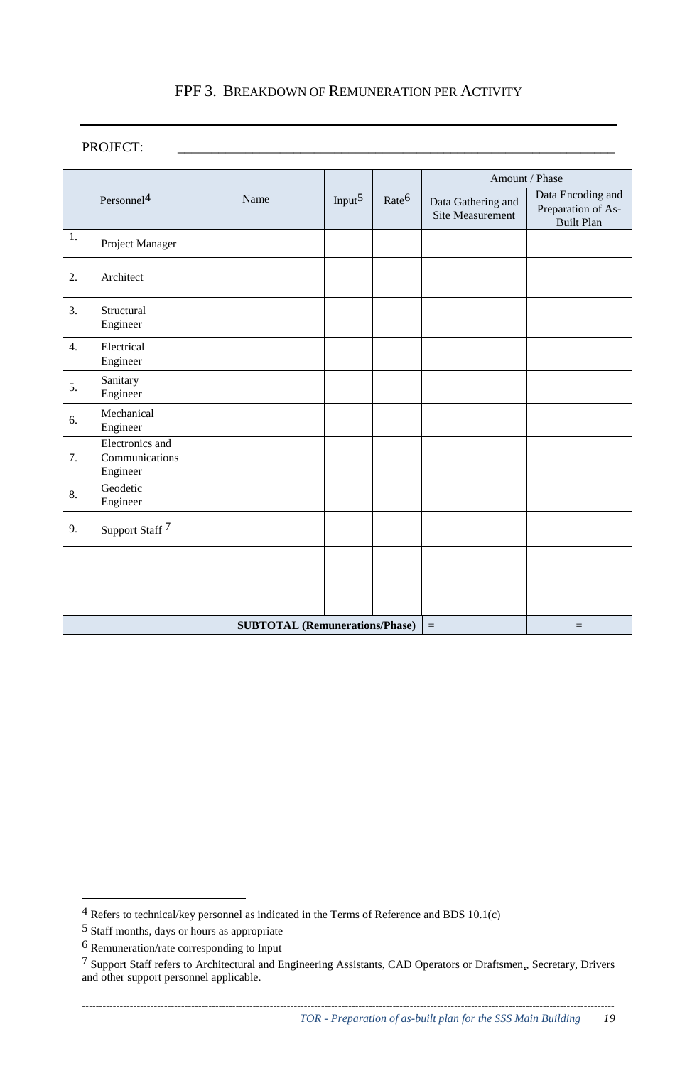## FPF 3. BREAKDOWN OF REMUNERATION PER ACTIVITY

### PROJECT: \_\_\_\_\_\_\_\_\_\_\_\_\_\_\_\_\_\_\_\_\_\_\_\_\_\_\_\_\_\_\_\_\_\_\_\_\_\_\_\_\_\_\_\_\_\_\_\_\_\_\_\_\_\_\_\_\_\_\_\_\_\_\_\_

|    |                                                          | Name | Input $5$ | Rate <sup>6</sup> | Amount / Phase                                |                                                              |  |
|----|----------------------------------------------------------|------|-----------|-------------------|-----------------------------------------------|--------------------------------------------------------------|--|
|    | Personnel <sup>4</sup>                                   |      |           |                   | Data Gathering and<br><b>Site Measurement</b> | Data Encoding and<br>Preparation of As-<br><b>Built Plan</b> |  |
| 1. | Project Manager                                          |      |           |                   |                                               |                                                              |  |
| 2. | Architect                                                |      |           |                   |                                               |                                                              |  |
| 3. | Structural<br>Engineer                                   |      |           |                   |                                               |                                                              |  |
| 4. | Electrical<br>Engineer                                   |      |           |                   |                                               |                                                              |  |
| 5. | Sanitary<br>Engineer                                     |      |           |                   |                                               |                                                              |  |
| 6. | Mechanical<br>Engineer                                   |      |           |                   |                                               |                                                              |  |
| 7. | Electronics and<br>Communications<br>Engineer            |      |           |                   |                                               |                                                              |  |
| 8. | Geodetic<br>Engineer                                     |      |           |                   |                                               |                                                              |  |
| 9. | Support Staff <sup>7</sup>                               |      |           |                   |                                               |                                                              |  |
|    |                                                          |      |           |                   |                                               |                                                              |  |
|    |                                                          |      |           |                   |                                               |                                                              |  |
|    | <b>SUBTOTAL (Remunerations/Phase)</b><br>$\equiv$<br>$=$ |      |           |                   |                                               |                                                              |  |

<u>.</u>

 $4$  Refers to technical/key personnel as indicated in the Terms of Reference and BDS 10.1(c)

<sup>5</sup> Staff months, days or hours as appropriate

<sup>6</sup> Remuneration/rate corresponding to Input

<sup>7</sup> Support Staff refers to Architectural and Engineering Assistants, CAD Operators or Draftsmen,, Secretary, Drivers and other support personnel applicable.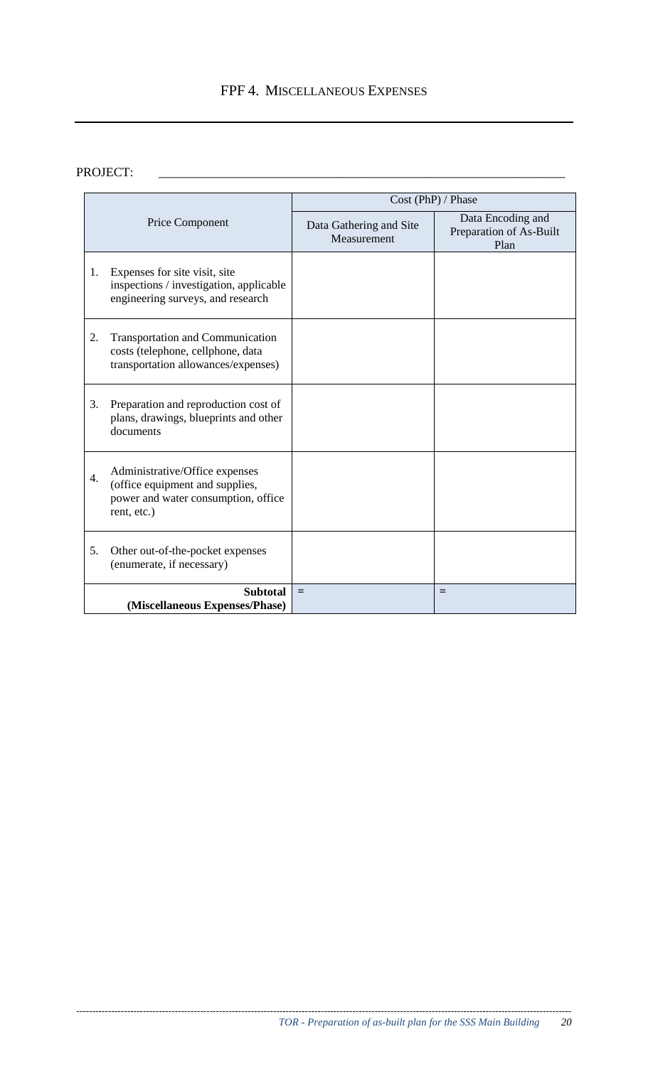## FPF 4. MISCELLANEOUS EXPENSES

## PROJECT:

|    |                                                                                                                         | Cost (PhP) / Phase                     |                                                      |  |  |  |
|----|-------------------------------------------------------------------------------------------------------------------------|----------------------------------------|------------------------------------------------------|--|--|--|
|    | Price Component                                                                                                         | Data Gathering and Site<br>Measurement | Data Encoding and<br>Preparation of As-Built<br>Plan |  |  |  |
| 1. | Expenses for site visit, site<br>inspections / investigation, applicable<br>engineering surveys, and research           |                                        |                                                      |  |  |  |
| 2. | <b>Transportation and Communication</b><br>costs (telephone, cellphone, data<br>transportation allowances/expenses)     |                                        |                                                      |  |  |  |
| 3. | Preparation and reproduction cost of<br>plans, drawings, blueprints and other<br>documents                              |                                        |                                                      |  |  |  |
| 4. | Administrative/Office expenses<br>(office equipment and supplies,<br>power and water consumption, office<br>rent, etc.) |                                        |                                                      |  |  |  |
| 5. | Other out-of-the-pocket expenses<br>(enumerate, if necessary)                                                           |                                        |                                                      |  |  |  |
|    | <b>Subtotal</b><br>(Miscellaneous Expenses/Phase)                                                                       | $=$                                    | $=$                                                  |  |  |  |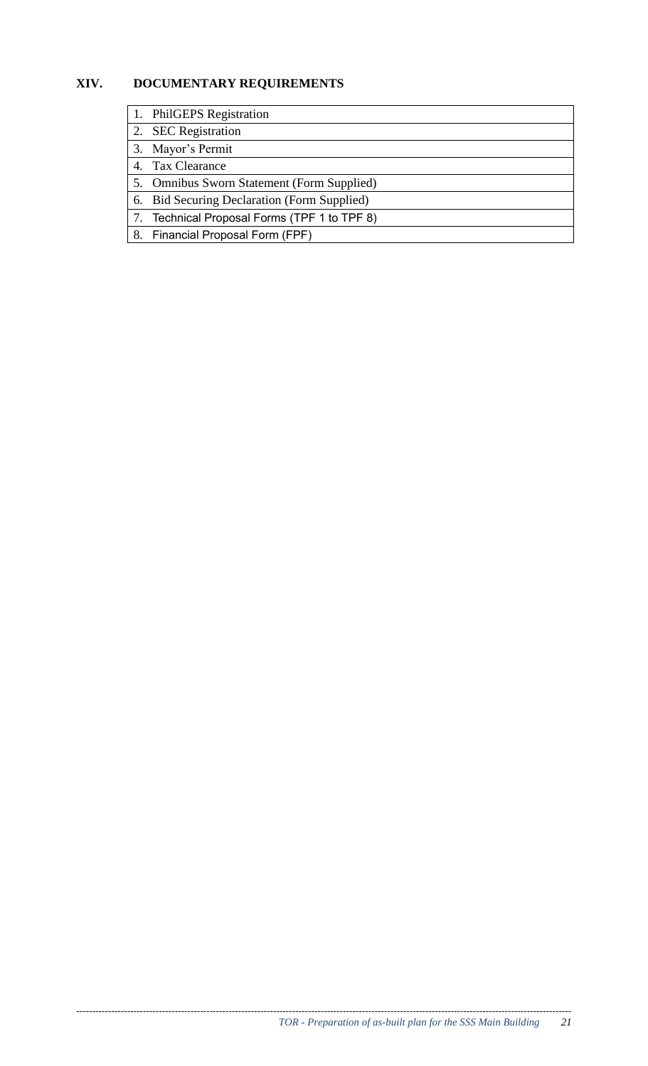## **XIV. DOCUMENTARY REQUIREMENTS**

- 1. PhilGEPS Registration
- 2. SEC Registration
- 3. Mayor's Permit
- 4. Tax Clearance
- 5. Omnibus Sworn Statement (Form Supplied)
- 6. Bid Securing Declaration (Form Supplied)
- 7. Technical Proposal Forms (TPF 1 to TPF 8)
- 8. Financial Proposal Form (FPF)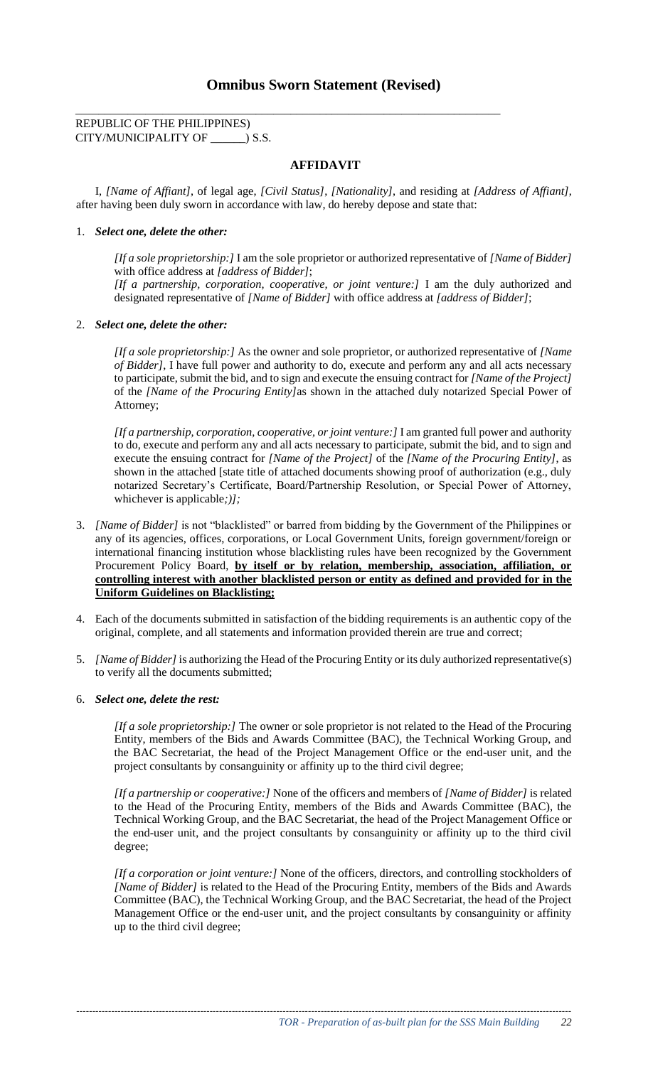## **Omnibus Sworn Statement (Revised)**

\_\_\_\_\_\_\_\_\_\_\_\_\_\_\_\_\_\_\_\_\_\_\_\_\_\_\_\_\_\_\_\_\_\_\_\_\_\_\_\_\_\_\_\_\_\_\_\_\_\_\_\_\_\_\_\_\_\_\_\_\_\_\_\_\_\_\_\_\_\_\_\_\_

#### REPUBLIC OF THE PHILIPPINES) CITY/MUNICIPALITY OF \_\_\_\_\_\_) S.S.

#### **AFFIDAVIT**

I, *[Name of Affiant]*, of legal age, *[Civil Status]*, *[Nationality]*, and residing at *[Address of Affiant]*, after having been duly sworn in accordance with law, do hereby depose and state that:

#### 1. *Select one, delete the other:*

*[If a sole proprietorship:]* I am the sole proprietor or authorized representative of *[Name of Bidder]* with office address at *[address of Bidder]*; *[If a partnership, corporation, cooperative, or joint venture:]* I am the duly authorized and designated representative of *[Name of Bidder]* with office address at *[address of Bidder]*;

#### 2. *Select one, delete the other:*

*[If a sole proprietorship:]* As the owner and sole proprietor, or authorized representative of *[Name of Bidder]*, I have full power and authority to do, execute and perform any and all acts necessary to participate, submit the bid, and to sign and execute the ensuing contract for *[Name of the Project]* of the *[Name of the Procuring Entity]*as shown in the attached duly notarized Special Power of Attorney;

*[If a partnership, corporation, cooperative, or joint venture:]* I am granted full power and authority to do, execute and perform any and all acts necessary to participate, submit the bid, and to sign and execute the ensuing contract for *[Name of the Project]* of the *[Name of the Procuring Entity]*, as shown in the attached [state title of attached documents showing proof of authorization (e.g., duly notarized Secretary's Certificate, Board/Partnership Resolution, or Special Power of Attorney, whichever is applicable*;)];* 

- 3. *[Name of Bidder]* is not "blacklisted" or barred from bidding by the Government of the Philippines or any of its agencies, offices, corporations, or Local Government Units, foreign government/foreign or international financing institution whose blacklisting rules have been recognized by the Government Procurement Policy Board, **by itself or by relation, membership, association, affiliation, or controlling interest with another blacklisted person or entity as defined and provided for in the Uniform Guidelines on Blacklisting;**
- 4. Each of the documents submitted in satisfaction of the bidding requirements is an authentic copy of the original, complete, and all statements and information provided therein are true and correct;
- 5. *[Name of Bidder]* is authorizing the Head of the Procuring Entity or its duly authorized representative(s) to verify all the documents submitted;

#### 6. *Select one, delete the rest:*

*[If a sole proprietorship:]* The owner or sole proprietor is not related to the Head of the Procuring Entity, members of the Bids and Awards Committee (BAC), the Technical Working Group, and the BAC Secretariat, the head of the Project Management Office or the end-user unit, and the project consultants by consanguinity or affinity up to the third civil degree;

*[If a partnership or cooperative:]* None of the officers and members of *[Name of Bidder]* is related to the Head of the Procuring Entity, members of the Bids and Awards Committee (BAC), the Technical Working Group, and the BAC Secretariat, the head of the Project Management Office or the end-user unit, and the project consultants by consanguinity or affinity up to the third civil degree;

*[If a corporation or joint venture:]* None of the officers, directors, and controlling stockholders of *[Name of Bidder]* is related to the Head of the Procuring Entity, members of the Bids and Awards Committee (BAC), the Technical Working Group, and the BAC Secretariat, the head of the Project Management Office or the end-user unit, and the project consultants by consanguinity or affinity up to the third civil degree;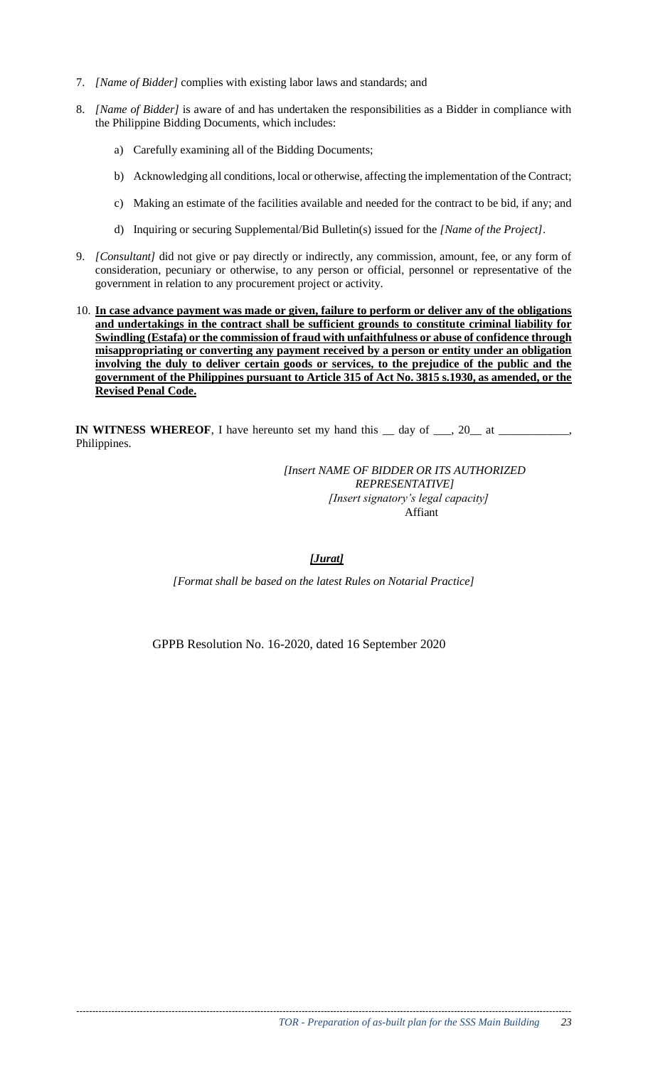- 7. *[Name of Bidder]* complies with existing labor laws and standards; and
- 8. *[Name of Bidder]* is aware of and has undertaken the responsibilities as a Bidder in compliance with the Philippine Bidding Documents, which includes:
	- a) Carefully examining all of the Bidding Documents;
	- b) Acknowledging all conditions, local or otherwise, affecting the implementation of the Contract;
	- c) Making an estimate of the facilities available and needed for the contract to be bid, if any; and
	- d) Inquiring or securing Supplemental/Bid Bulletin(s) issued for the *[Name of the Project]*.
- 9. *[Consultant]* did not give or pay directly or indirectly, any commission, amount, fee, or any form of consideration, pecuniary or otherwise, to any person or official, personnel or representative of the government in relation to any procurement project or activity.
- 10. **In case advance payment was made or given, failure to perform or deliver any of the obligations and undertakings in the contract shall be sufficient grounds to constitute criminal liability for Swindling (Estafa) or the commission of fraud with unfaithfulness or abuse of confidence through misappropriating or converting any payment received by a person or entity under an obligation involving the duly to deliver certain goods or services, to the prejudice of the public and the government of the Philippines pursuant to Article 315 of Act No. 3815 s.1930, as amended, or the Revised Penal Code.**

**IN WITNESS WHEREOF**, I have hereunto set my hand this  $\_\_$  day of  $\_\_$ , 20 $\_\_$  at  $\_\_$ Philippines.

> *[Insert NAME OF BIDDER OR ITS AUTHORIZED REPRESENTATIVE] [Insert signatory's legal capacity]*  Affiant

#### *[Jurat]*

*[Format shall be based on the latest Rules on Notarial Practice]* 

GPPB Resolution No. 16-2020, dated 16 September 2020